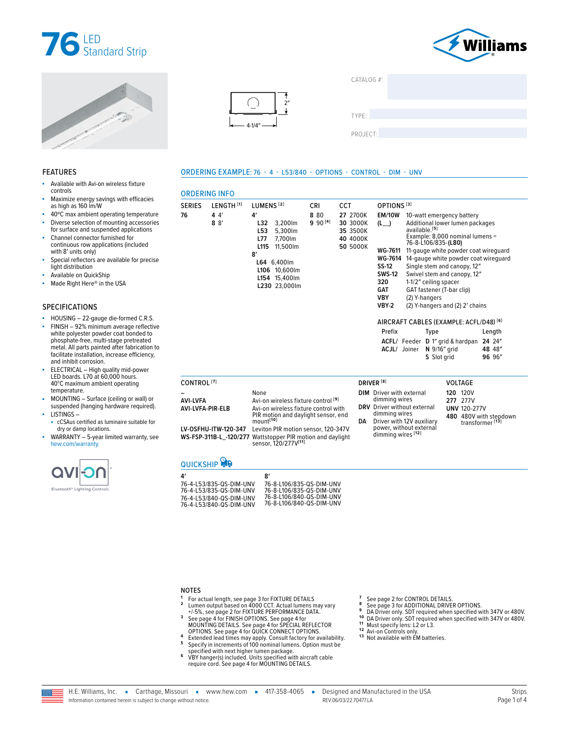







| CATALOG #: |  |  |
|------------|--|--|
|            |  |  |
|            |  |  |
|            |  |  |
|            |  |  |
|            |  |  |

TYPE: ����������������������������������������������������

PROJECT:

### ORDERING EXAMPLE: 76 - 4 - L53/840 - OPTIONS - CONTROL - DIM - UNV

| s fixture                                                                                                    |                                     |                                                                                                    |                                                                                                                                                                                                                                                                                             |                     |                                                          |                                                                                                                                          |                                                                                                                                                                                                                                                      |                                                                                                                                                                     |                                                       |  |
|--------------------------------------------------------------------------------------------------------------|-------------------------------------|----------------------------------------------------------------------------------------------------|---------------------------------------------------------------------------------------------------------------------------------------------------------------------------------------------------------------------------------------------------------------------------------------------|---------------------|----------------------------------------------------------|------------------------------------------------------------------------------------------------------------------------------------------|------------------------------------------------------------------------------------------------------------------------------------------------------------------------------------------------------------------------------------------------------|---------------------------------------------------------------------------------------------------------------------------------------------------------------------|-------------------------------------------------------|--|
| th efficacies                                                                                                |                                     | <b>ORDERING INFO</b>                                                                               |                                                                                                                                                                                                                                                                                             |                     |                                                          |                                                                                                                                          |                                                                                                                                                                                                                                                      |                                                                                                                                                                     |                                                       |  |
|                                                                                                              | <b>SERIES</b>                       | LENGTH <sup>[1]</sup>                                                                              | LUMENS <sup>[2]</sup>                                                                                                                                                                                                                                                                       | CRI                 | <b>CCT</b>                                               | OPTIONS <sup>[3]</sup>                                                                                                                   |                                                                                                                                                                                                                                                      |                                                                                                                                                                     |                                                       |  |
| g temperature<br>g accessories<br>pplications<br>d for<br><i>lincluded</i><br>ble for precise                | 76                                  | 44'<br>8 <sup>8</sup>                                                                              | 4′<br>3,200lm<br>L32<br>L <sub>53</sub><br>5.300lm<br><b>L77</b><br>7,700lm<br>L <sub>115</sub><br>11.500lm<br>8'<br>L64 6,400lm<br>L106 10,600lm<br>L154 15,400lm<br>L230 23,000lm                                                                                                         | 8 80<br>$990^{[4]}$ | 27 2700K<br>30 3000K<br>35 3500K<br>40 4000K<br>50 5000K | <b>EM/10W</b><br>(L)<br>SS-12<br><b>SWS-12</b><br>320<br><b>GAT</b><br><b>VBY</b><br><b>VBY-2</b>                                        | 10-watt emergency battery<br>available. <sup>[5]</sup><br>76-8-L106/835-(L80)<br>WG-7611 11-gauge white powder coat wireguard<br>WG-7614 14-gauge white powder coat wireguard<br>1-1/2" ceiling spacer<br>GAT fastener (T-bar clip)<br>(2) Y-hangers | Additional lower lumen packages<br>Example: 8,000 nominal lumens =<br>Single stem and canopy, 12"<br>Swivel stem and canopy, 12"<br>(2) Y-hangers and (2) 2' chains |                                                       |  |
| rmed C.R.S.<br>age reflective<br>t bonded to<br>pretreated<br>fabrication to '<br>e efficiency.<br>nid-power |                                     |                                                                                                    |                                                                                                                                                                                                                                                                                             |                     |                                                          | Prefix                                                                                                                                   | AIRCRAFT CABLES (EXAMPLE: ACFL/D48) <sup>[6]</sup><br><b>Type</b><br>ACFL/ Feeder D 1" grid & hardpan 24 24"<br>ACJL/ Joiner N 9/16" grid<br>S Slot grid                                                                                             |                                                                                                                                                                     | Length<br>48 48"<br>96 96"                            |  |
| ours.<br>rating                                                                                              | CONTROL <sup>[7]</sup>              |                                                                                                    |                                                                                                                                                                                                                                                                                             |                     |                                                          | DRIVER <sup>[8]</sup>                                                                                                                    |                                                                                                                                                                                                                                                      | <b>VOLTAGE</b>                                                                                                                                                      |                                                       |  |
| g or wall) or<br>re required).<br>e suitable for<br>warranty, see                                            | <b>AVI-LVFA</b><br>AVI-LVFA-PIR-ELB | LV-OSFHU-ITW-120-347                                                                               | None<br>Avi-on wireless fixture control <sup>[9]</sup><br>Avi-on wireless fixture control with<br>PIR motion and daylight sensor, end<br>mount <sup>[10]</sup><br>Leviton PIR motion sensor, 120-347V<br>WS-FSP-311B-L_-120/277 Wattstopper PIR motion and daylight<br>sensor, 120/277V[11] |                     | DA                                                       | <b>DIM</b> Driver with external<br>dimming wires<br><b>DRV</b> Driver without external<br>dimming wires<br>dimming wires <sup>[12]</sup> | Driver with 12V auxiliary<br>power, without external                                                                                                                                                                                                 | <b>120 120V</b><br>277 277V<br><b>UNV 120-277V</b>                                                                                                                  | 480 480V with stepdown<br>transformer <sup>[13]</sup> |  |
|                                                                                                              |                                     | <b>QUICKSHIP</b>                                                                                   |                                                                                                                                                                                                                                                                                             |                     |                                                          |                                                                                                                                          |                                                                                                                                                                                                                                                      |                                                                                                                                                                     |                                                       |  |
|                                                                                                              | 4'                                  | 76-4-L53/835-QS-DIM-UNV<br>76-4-L53/835-QS-DIM-UNV<br><b>76 <math>A</math> 152/940 OC DIM HAIV</b> | 8'<br>76-8-L106/835-QS-DIM-UNV<br>76-8-L106/835-QS-DIM-UNV<br>76-8-1106/840-0S-DIM-UNV                                                                                                                                                                                                      |                     |                                                          |                                                                                                                                          |                                                                                                                                                                                                                                                      |                                                                                                                                                                     |                                                       |  |

| 76-4-L53/835-QS-DIM-UNV | 76-8-L106/835-QS-DIM-UNV |
|-------------------------|--------------------------|
| 76-4-L53/835-QS-DIM-UNV | 76-8-L106/835-QS-DIM-UNV |
| 76-4-153/840-QS-DIM-UNV | 76-8-L106/840-QS-DIM-UNV |
| 76-4-L53/840-QS-DIM-UNV | 76-8-L106/840-QS-DIM-UNV |

NOTES

- **<sup>1</sup>** For actual length, [see page 3 for FIXTURE DETAILS](#page-2-0) **<sup>2</sup>** Lumen output based on 4000 CCT. Actual lumens may vary
- <sup>4</sup> 1/5%, [see page 2 for FIXTURE PERFORMANCE DATA](#page-1-0).<br> [See page 4 for FINISH OPTIONS.](#page-3-0) [See page 4 for](#page-3-1) SPECIAL REFLECTOR<br> [MOUNTING DETAILS.](#page-3-1) See page 4 for SPECIAL REFLECTOR<br> [OPTIONS.](#page-3-2) [See page 4 for QUICK CONNECT OPTIONS.](#page-3-3)<br>
4 Ext
- 
- specified with next higher lumen package. **<sup>6</sup>** VBY hanger(s) included. Units specified with aircraft cable require cord. [See page 4 for MOUNTING DETAILS.](#page-3-1)
- 
- 
- 
- 
- 7 [See page 2 for CONTROL DETAILS.](#page-1-1)<br>
8 [See page 3 for ADDITIONAL DRIVER OPTIONS.](#page-2-1)<br>
9 DA Driver only. SDT required when specified with 347V or 480V.<br>
10 DA Driver only. SDT required when specified with 347V or 480V.<br>
11 Must s
- 
- 

## FEATURES

- Available with Avi-on wireles controls
- Maximize energy savings with efficacies as high as 160 lm/W
- 40°C max ambient operating
- Diverse selection of mountin for surface and suspended a
- Channel connector furnished continuous row applications with 8′ units only)
- Special reflectors are available light distribution
- Available on QuickShip
- Made Right Here<sup>®</sup> in the USA

### SPECIFICATIONS

- $\blacksquare$  HOUSING 22-gauge die-fo
- $FINISH 92%$  minimum aver white polyester powder coat phosphate-free, multi-stage metal. All parts painted after facilitate installation, increas and inhibit corrosion.
- ELECTRICAL High quality r LED boards. L70 at 60,000 h 40°C maximum ambient ope temperature.
- MOUNTING Surface (ceilin suspended (hanging hardwa LISTINGS –
- cCSAus certified as luminair dry or damp locations.
- $WARRANTY 5-year limited$ [hew.com/warranty.](https://www.hew.com/resources/warranty-and-terms)

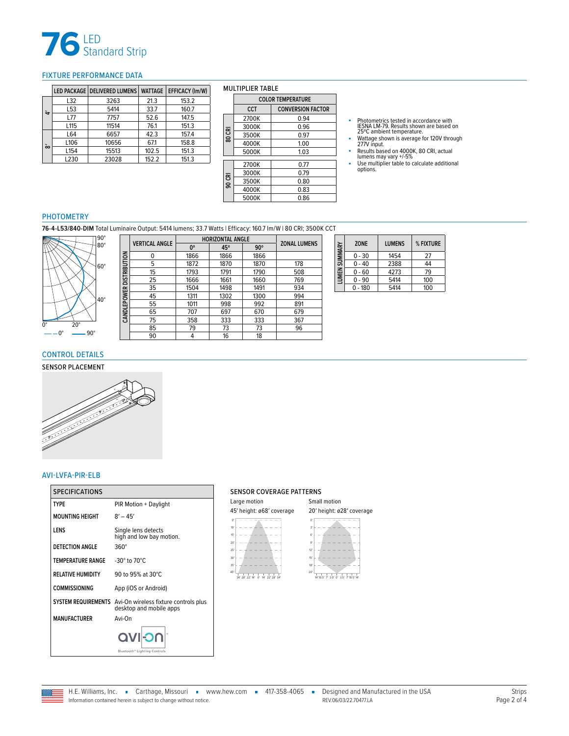

### <span id="page-1-0"></span>FIXTURE PERFORMANCE DATA

|   |                  | LED PACKAGE   DELIVERED LUMENS | <b>WATTAGE</b> | <b>EFFICACY (Im/W)</b> |
|---|------------------|--------------------------------|----------------|------------------------|
|   | L32              | 3263                           | 21.3           | 153.2                  |
| ⇆ | L <sub>53</sub>  | 5414                           | 33.7           | 160.7                  |
|   | L77              | 7757                           | 52.6           | 147.5                  |
|   | L <sub>115</sub> | 11514                          | 76.1           | 151.3                  |
|   | L64              | 6657                           | 42.3           | 157.4                  |
| ò | L106             | 10656                          | 67.1           | 158.8                  |
|   | L <sub>154</sub> | 15513                          | 102.5          | 151.3                  |
|   | L230             | 23028                          | 152.2          | 151.3                  |

### MULTIPLIER TABLE

|        | <b>COLOR TEMPERATURE</b> |                          |  |  |  |
|--------|--------------------------|--------------------------|--|--|--|
|        | CCT                      | <b>CONVERSION FACTOR</b> |  |  |  |
|        | 2700K                    | 0.94                     |  |  |  |
|        | 3000K                    | 0.96                     |  |  |  |
| 80 CRI | 3500K                    | 0.97                     |  |  |  |
|        | 4000K                    | 1.00                     |  |  |  |
|        | 5000K                    | 1.03                     |  |  |  |
|        |                          |                          |  |  |  |
|        | 2700K                    | 0.77                     |  |  |  |
|        | 3000K                    | 0.79                     |  |  |  |
| 90 CRI | 3500K                    | 0.80                     |  |  |  |
|        | 4000K                    | 0.83                     |  |  |  |
|        | 5000K                    | 0.86                     |  |  |  |

- Photometrics tested in accordance with<br>
IESNA LM-79. Results shown are based on<br>
Z5°C ambient temperature.<br>
 Wattage shown is average for 120V through<br>
277V input.<br>
 Results based on 4000K, 80 CRI, actual<br>
 Ilumens ma
- 
- 
- 

### PHOTOMETRY

**76-4-L53/840-DIM** Total Luminaire Output: 5414 lumens; 33.7 Watts | Efficacy: 160.7 lm/W | 80 CRI; 3500K CCT



|                     | <b>VERTICAL ANGLE</b> | <b>HORIZONTAL ANGLE</b> | <b>ZONAL LUMENS</b> |            |     |
|---------------------|-----------------------|-------------------------|---------------------|------------|-----|
|                     |                       | 0°                      | 45°                 | $90^\circ$ |     |
|                     | ŋ                     | 1866                    | 1866                | 1866       |     |
|                     | 5                     | 1872                    | 1870                | 1870       | 178 |
| <b>DISTRIBUTION</b> | 15                    | 1793                    | 1791                | 1790       | 508 |
|                     | 25                    | 1666                    | 1661                | 1660       | 769 |
|                     | 35                    | 1504                    | 1498                | 1491       | 934 |
|                     | 45                    | 1311                    | 1302                | 1300       | 994 |
| CANDLEPOWER         | 55                    | 1011                    | 998                 | 992        | 891 |
|                     | 65                    | 707                     | 697                 | 670        | 679 |
|                     | 75                    | 358                     | 333                 | 333        | 367 |
|                     | 85                    | 79                      | 73                  | 73         | 96  |
|                     | 90                    | 4                       | 16                  | 18         |     |

| LUMEN SUMMARY | <b>ZONE</b> | <b>LUMENS</b> | % FIXTURE |
|---------------|-------------|---------------|-----------|
|               | $0 - 30$    | 1454          | 27        |
|               | $-40$       | 2388          | 44        |
|               | 0 - 60      | 4273          | 79        |
|               | $0 - 90$    | 5414          | 100       |
|               | $-180$      | 5414          | 100       |

### <span id="page-1-1"></span>CONTROL DETAILS

### SENSOR PLACEMENT



### AVI-LVFA-PIR-ELB

| <b>SPECIFICATIONS</b>    |                                                                                      | <b>SENSOR CO</b>             |
|--------------------------|--------------------------------------------------------------------------------------|------------------------------|
| <b>TYPE</b>              | PIR Motion + Daylight                                                                | Large motion                 |
| <b>MOUNTING HEIGHT</b>   | $8' - 45'$                                                                           | 45' height: øf               |
| LENS                     | Single lens detects<br>high and low bay motion.                                      | 10'<br>15'                   |
| <b>DETECTION ANGLE</b>   | $360^\circ$                                                                          | 20 <sup>°</sup><br>25'       |
| <b>TEMPERATURE RANGE</b> | -30 $^{\circ}$ to 70 $^{\circ}$ C                                                    | 30'<br>35'                   |
| <b>RELATIVE HUMIDITY</b> | 90 to 95% at 30°C                                                                    | 45'<br>34" 28" 22" 14"<br>0' |
| <b>COMMISSIONING</b>     | App (iOS or Android)                                                                 |                              |
|                          | SYSTEM REQUIREMENTS Avi-On wireless fixture controls plus<br>desktop and mobile apps |                              |
| <b>MANUFACTURER</b>      | Avi-On                                                                               |                              |
|                          | <b>NC-IVO</b><br>Bluetooth <sup>®</sup> Lighting Controls                            |                              |

### SENSOR COVERAGE PATTERNS

| Large motion                                          | Small motion                                                       |
|-------------------------------------------------------|--------------------------------------------------------------------|
| 45' height: ø68' coverage                             | 20' height: ø28' coverage                                          |
| $\Omega'$                                             |                                                                    |
| 10'                                                   | ÷,                                                                 |
| 15'                                                   | 61                                                                 |
| 20                                                    | q.                                                                 |
| 25'                                                   | 12'                                                                |
| 30'                                                   | 15'                                                                |
| 35'                                                   | 18'                                                                |
| 45'<br>28" 22" 14"<br>O'<br>22' 28' 34'<br>24'<br>14' | 20'<br>35'<br>m<br>3.51<br>14' 10 5'<br>$\mathcal{P}$<br>7110 5114 |
|                                                       |                                                                    |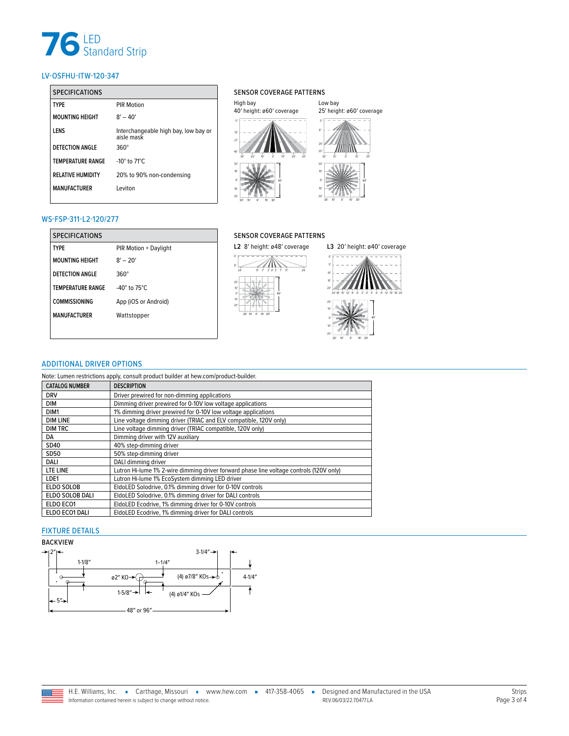# **76** LED<br>Standard Strip

### LV-OSFHU-ITW-120-347

| <b>SPECIFICATIONS</b>    |                                                    | <b>SENSOI</b>           |
|--------------------------|----------------------------------------------------|-------------------------|
| <b>TYPF</b>              | <b>PIR Motion</b>                                  | High bay                |
| <b>MOUNTING HEIGHT</b>   | $8' - 40'$                                         | 40' heigh               |
| LENS                     | Interchangeable high bay, low bay or<br>aisle mask | 15'<br>27               |
| <b>DETECTION ANGLE</b>   | $360^\circ$                                        | 40'                     |
| <b>TEMPERATURE RANGE</b> | -10 $\degree$ to 71 $\degree$ C                    | 20'<br>30'<br>30'       |
| <b>RELATIVE HUMIDITY</b> | 20% to 90% non-condensing                          | 15'                     |
| <b>MANUFACTURER</b>      | Leviton                                            | $\Omega'$<br>15'<br>30' |

### SENSOR COVERAGE PATTERNS



Low bay

### WS-FSP-311-L2-120/277

| <b>SPECIFICATIONS</b>    |                                    |
|--------------------------|------------------------------------|
| <b>TYPF</b>              | PIR Motion + Daylight              |
| <b>MOUNTING HEIGHT</b>   | $8' - 20'$                         |
| DETECTION ANGLE          | 360°                               |
| <b>TEMPERATURE RANGE</b> | -40 $^{\circ}$ to 75 $^{\circ}$ C. |
| <b>COMMISSIONING</b>     | App (iOS or Android)               |
| <b>MANUFACTURFR</b>      | Wattstopper                        |
|                          |                                    |

### SENSOR COVERAGE PATTERNS

0′ 8′

0′ 20′

20′ 10′ 10′



20′ 10′ 0′ 10′ 20′

40′

### <span id="page-2-1"></span>ADDITIONAL DRIVER OPTIONS

Note: Lumen restrictions apply, consult product builder at hew.com/product-builder.

| <b>CATALOG NUMBER</b> | <b>DESCRIPTION</b>                                                                      |
|-----------------------|-----------------------------------------------------------------------------------------|
| <b>DRV</b>            | Driver prewired for non-dimming applications                                            |
| <b>DIM</b>            | Dimming driver prewired for 0-10V low voltage applications                              |
| DIM1                  | 1% dimming driver prewired for 0-10V low voltage applications                           |
| <b>DIM LINE</b>       | Line voltage dimming driver (TRIAC and ELV compatible, 120V only)                       |
| <b>DIM TRC</b>        | Line voltage dimming driver (TRIAC compatible, 120V only)                               |
| DA                    | Dimming driver with 12V auxiliary                                                       |
| SD40                  | 40% step-dimming driver                                                                 |
| <b>SD50</b>           | 50% step-dimming driver                                                                 |
| DALI                  | DALI dimming driver                                                                     |
| LTE LINE              | Lutron Hi-lume 1% 2-wire dimming driver forward phase line voltage controls (120V only) |
| LDE1                  | Lutron Hi-lume 1% EcoSystem dimming LED driver                                          |
| ELDO SOLOB            | EldoLED Solodrive, 0.1% dimming driver for 0-10V controls                               |
| ELDO SOLOB DALI       | EldoLED Solodrive, 0.1% dimming driver for DALI controls                                |
| ELDO ECO1             | EldoLED Ecodrive, 1% dimming driver for 0-10V controls                                  |
| ELDO ECO1 DALI        | EldoLED Ecodrive, 1% dimming driver for DALI controls                                   |

### <span id="page-2-0"></span>FIXTURE DETAILS

### BACKVIEW